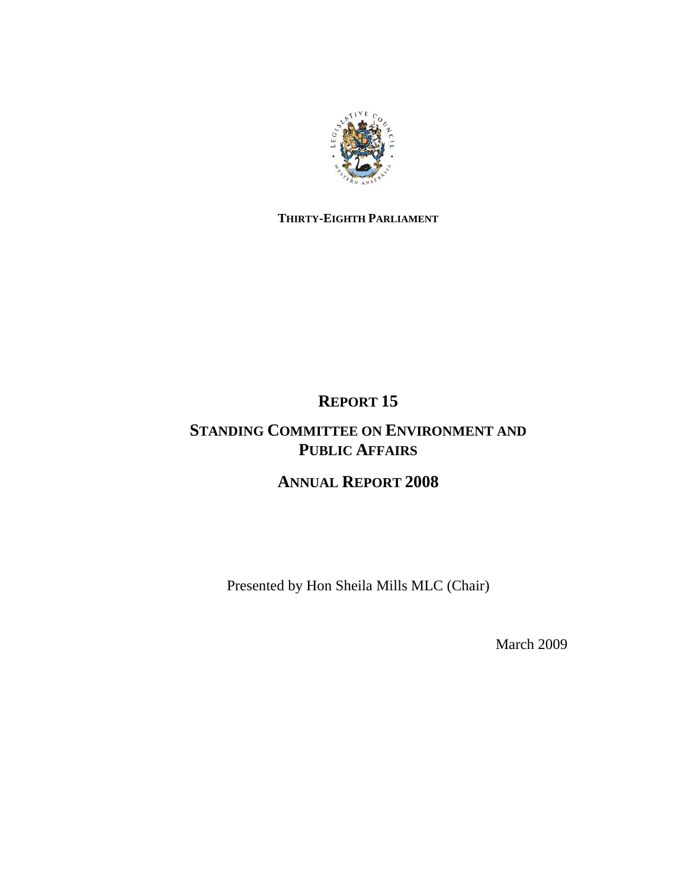

## **THIRTY-EIGHTH PARLIAMENT**

# **REPORT 15**

# **STANDING COMMITTEE ON ENVIRONMENT AND PUBLIC AFFAIRS**

## **ANNUAL REPORT 2008**

Presented by Hon Sheila Mills MLC (Chair)

March 2009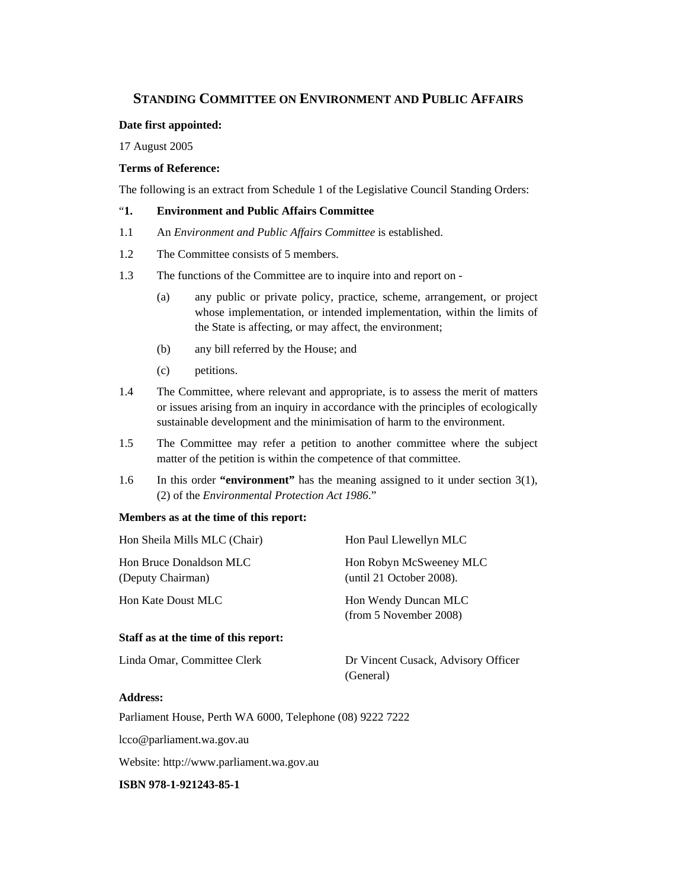## **STANDING COMMITTEE ON ENVIRONMENT AND PUBLIC AFFAIRS**

#### **Date first appointed:**

17 August 2005

#### **Terms of Reference:**

The following is an extract from Schedule 1 of the Legislative Council Standing Orders:

### "**1. Environment and Public Affairs Committee**

- 1.1 An *Environment and Public Affairs Committee* is established.
- 1.2 The Committee consists of 5 members.
- 1.3 The functions of the Committee are to inquire into and report on
	- (a) any public or private policy, practice, scheme, arrangement, or project whose implementation, or intended implementation, within the limits of the State is affecting, or may affect, the environment;
	- (b) any bill referred by the House; and
	- (c) petitions.
- 1.4 The Committee, where relevant and appropriate, is to assess the merit of matters or issues arising from an inquiry in accordance with the principles of ecologically sustainable development and the minimisation of harm to the environment.
- 1.5 The Committee may refer a petition to another committee where the subject matter of the petition is within the competence of that committee.
- 1.6 In this order **"environment"** has the meaning assigned to it under section 3(1), (2) of the *Environmental Protection Act 1986*."

#### **Members as at the time of this report:**

| Hon Sheila Mills MLC (Chair)                 | Hon Paul Llewellyn MLC                              |
|----------------------------------------------|-----------------------------------------------------|
| Hon Bruce Donaldson MLC<br>(Deputy Chairman) | Hon Robyn McSweeney MLC<br>(until 21 October 2008). |
| <b>Hon Kate Doust MLC</b>                    | Hon Wendy Duncan MLC<br>(from 5 November 2008)      |
| Staff as at the time of this report:         |                                                     |
| Linda Omar, Committee Clerk                  | Dr Vincent Cusack, Advisory Officer<br>(General)    |

## **Address:**

Parliament House, Perth WA 6000, Telephone (08) 9222 7222

lcco@parliament.wa.gov.au

Website: http://www.parliament.wa.gov.au

**ISBN 978-1-921243-85-1**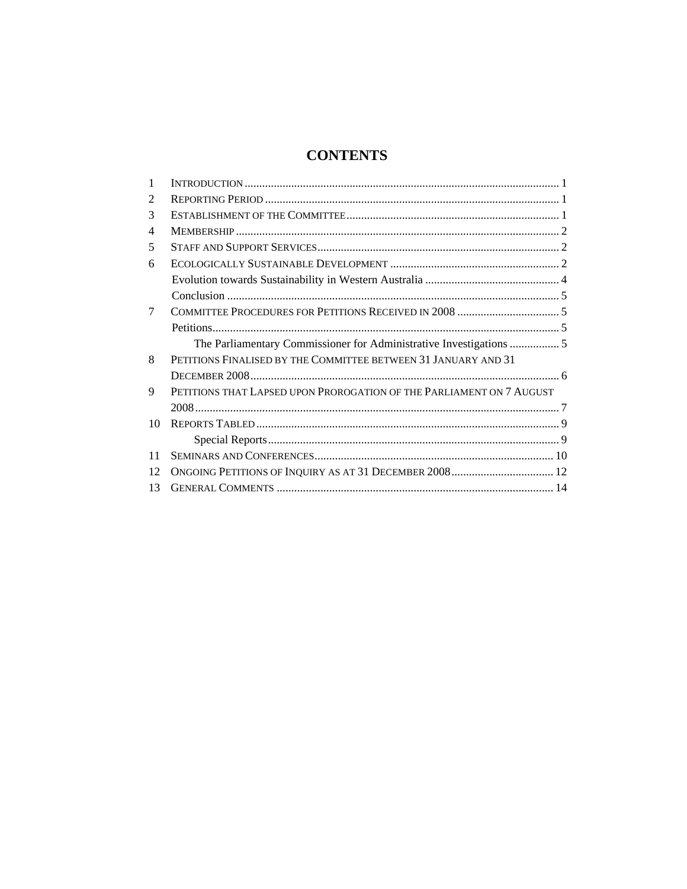## **CONTENTS**

| 1  |                                                                      |  |
|----|----------------------------------------------------------------------|--|
| 2  |                                                                      |  |
| 3  |                                                                      |  |
| 4  |                                                                      |  |
| 5  |                                                                      |  |
| 6  |                                                                      |  |
|    |                                                                      |  |
|    |                                                                      |  |
| 7  |                                                                      |  |
|    |                                                                      |  |
|    |                                                                      |  |
| 8  | PETITIONS FINALISED BY THE COMMITTEE BETWEEN 31 JANUARY AND 31       |  |
|    |                                                                      |  |
| 9  | PETITIONS THAT LAPSED UPON PROROGATION OF THE PARLIAMENT ON 7 AUGUST |  |
|    |                                                                      |  |
| 10 |                                                                      |  |
|    |                                                                      |  |
| 11 |                                                                      |  |
| 12 | ONGOING PETITIONS OF INQUIRY AS AT 31 DECEMBER 2008 12               |  |
| 13 |                                                                      |  |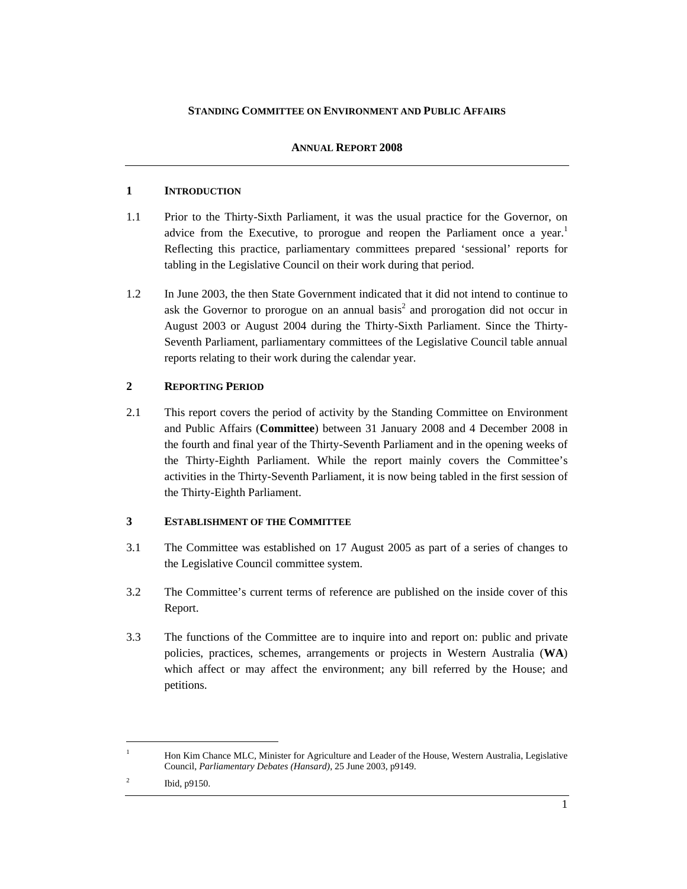### **STANDING COMMITTEE ON ENVIRONMENT AND PUBLIC AFFAIRS**

## **ANNUAL REPORT 2008**

## **1 INTRODUCTION**

- 1.1 Prior to the Thirty-Sixth Parliament, it was the usual practice for the Governor, on advice from the Executive, to prorogue and reopen the Parliament once a year.<sup>1</sup> Reflecting this practice, parliamentary committees prepared 'sessional' reports for tabling in the Legislative Council on their work during that period.
- 1.2 In June 2003, the then State Government indicated that it did not intend to continue to ask the Governor to prorogue on an annual basis<sup>2</sup> and prorogation did not occur in August 2003 or August 2004 during the Thirty-Sixth Parliament. Since the Thirty-Seventh Parliament, parliamentary committees of the Legislative Council table annual reports relating to their work during the calendar year.

## **2 REPORTING PERIOD**

2.1 This report covers the period of activity by the Standing Committee on Environment and Public Affairs (**Committee**) between 31 January 2008 and 4 December 2008 in the fourth and final year of the Thirty-Seventh Parliament and in the opening weeks of the Thirty-Eighth Parliament. While the report mainly covers the Committee's activities in the Thirty-Seventh Parliament, it is now being tabled in the first session of the Thirty-Eighth Parliament.

## **3 ESTABLISHMENT OF THE COMMITTEE**

- 3.1 The Committee was established on 17 August 2005 as part of a series of changes to the Legislative Council committee system.
- 3.2 The Committee's current terms of reference are published on the inside cover of this Report.
- 3.3 The functions of the Committee are to inquire into and report on: public and private policies, practices, schemes, arrangements or projects in Western Australia (**WA**) which affect or may affect the environment; any bill referred by the House; and petitions.

 $\overline{a}$ 1

Hon Kim Chance MLC, Minister for Agriculture and Leader of the House, Western Australia, Legislative Council, *Parliamentary Debates (Hansard)*, 25 June 2003, p9149.

<sup>2</sup> Ibid, p9150.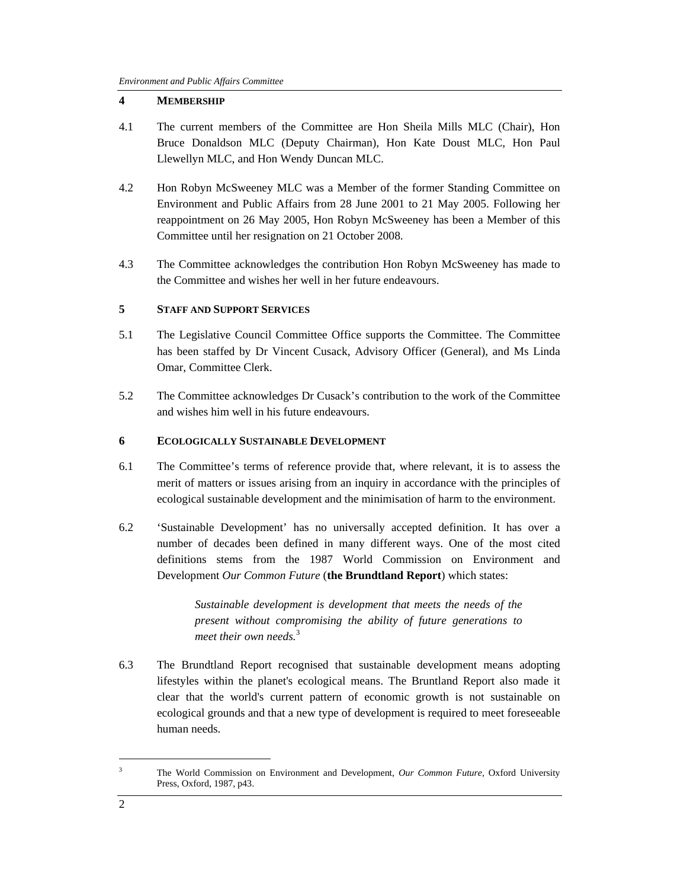## **4 MEMBERSHIP**

- 4.1 The current members of the Committee are Hon Sheila Mills MLC (Chair), Hon Bruce Donaldson MLC (Deputy Chairman), Hon Kate Doust MLC, Hon Paul Llewellyn MLC, and Hon Wendy Duncan MLC.
- 4.2 Hon Robyn McSweeney MLC was a Member of the former Standing Committee on Environment and Public Affairs from 28 June 2001 to 21 May 2005. Following her reappointment on 26 May 2005, Hon Robyn McSweeney has been a Member of this Committee until her resignation on 21 October 2008.
- 4.3 The Committee acknowledges the contribution Hon Robyn McSweeney has made to the Committee and wishes her well in her future endeavours.

## **5 STAFF AND SUPPORT SERVICES**

- 5.1 The Legislative Council Committee Office supports the Committee. The Committee has been staffed by Dr Vincent Cusack, Advisory Officer (General), and Ms Linda Omar, Committee Clerk.
- 5.2 The Committee acknowledges Dr Cusack's contribution to the work of the Committee and wishes him well in his future endeavours.

### **6 ECOLOGICALLY SUSTAINABLE DEVELOPMENT**

- 6.1 The Committee's terms of reference provide that, where relevant, it is to assess the merit of matters or issues arising from an inquiry in accordance with the principles of ecological sustainable development and the minimisation of harm to the environment.
- 6.2 'Sustainable Development' has no universally accepted definition. It has over a number of decades been defined in many different ways. One of the most cited definitions stems from the 1987 World Commission on Environment and Development *Our Common Future* (**the Brundtland Report**) which states:

*Sustainable development is development that meets the needs of the present without compromising the ability of future generations to meet their own needs.*<sup>3</sup>

6.3 The Brundtland Report recognised that sustainable development means adopting lifestyles within the planet's ecological means. The Bruntland Report also made it clear that the world's current pattern of economic growth is not sustainable on ecological grounds and that a new type of development is required to meet foreseeable human needs.

<sup>3</sup> The World Commission on Environment and Development, *Our Common Future,* Oxford University Press, Oxford, 1987, p43.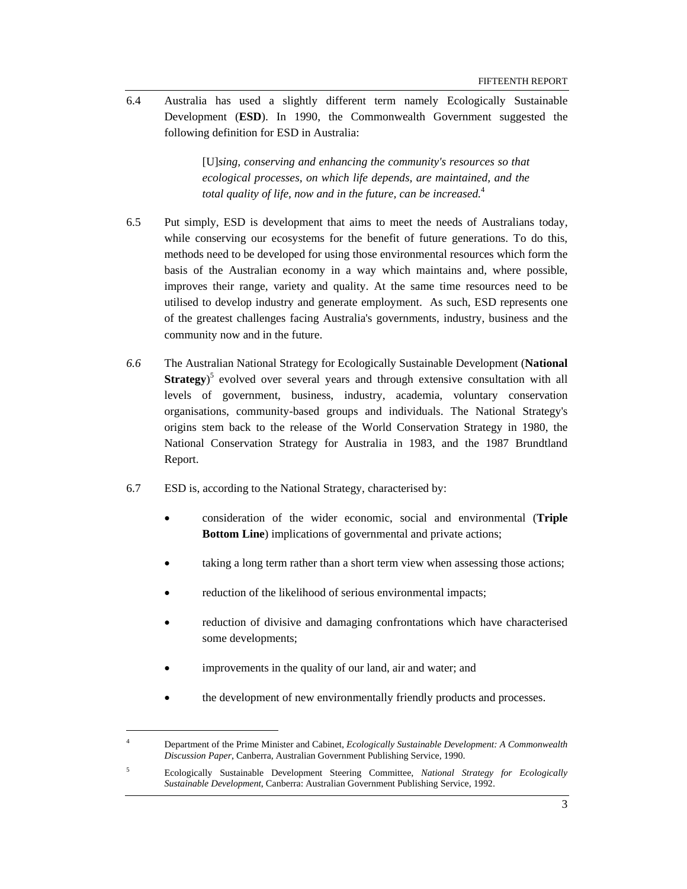6.4 Australia has used a slightly different term namely Ecologically Sustainable Development (**ESD**). In 1990, the Commonwealth Government suggested the following definition for ESD in Australia:

> [U]*sing, conserving and enhancing the community's resources so that ecological processes, on which life depends, are maintained, and the total quality of life, now and in the future, can be increased.*<sup>4</sup>

- 6.5 Put simply, ESD is development that aims to meet the needs of Australians today, while conserving our ecosystems for the benefit of future generations. To do this, methods need to be developed for using those environmental resources which form the basis of the Australian economy in a way which maintains and, where possible, improves their range, variety and quality. At the same time resources need to be utilised to develop industry and generate employment. As such, ESD represents one of the greatest challenges facing Australia's governments, industry, business and the community now and in the future.
- *6.6* The Australian National Strategy for Ecologically Sustainable Development (**National Strategy**<sup>5</sup> evolved over several years and through extensive consultation with all levels of government, business, industry, academia, voluntary conservation organisations, community-based groups and individuals. The National Strategy's origins stem back to the release of the World Conservation Strategy in 1980, the National Conservation Strategy for Australia in 1983, and the 1987 Brundtland Report.
- 6.7 ESD is, according to the National Strategy, characterised by:
	- consideration of the wider economic, social and environmental (**Triple Bottom Line**) implications of governmental and private actions;
	- taking a long term rather than a short term view when assessing those actions;
	- reduction of the likelihood of serious environmental impacts;
	- reduction of divisive and damaging confrontations which have characterised some developments;
	- improvements in the quality of our land, air and water; and

l

the development of new environmentally friendly products and processes.

<sup>4</sup> Department of the Prime Minister and Cabinet, *Ecologically Sustainable Development: A Commonwealth Discussion Paper*, Canberra, Australian Government Publishing Service, 1990.

<sup>5</sup> Ecologically Sustainable Development Steering Committee, *National Strategy for Ecologically Sustainable Development*, Canberra: Australian Government Publishing Service, 1992.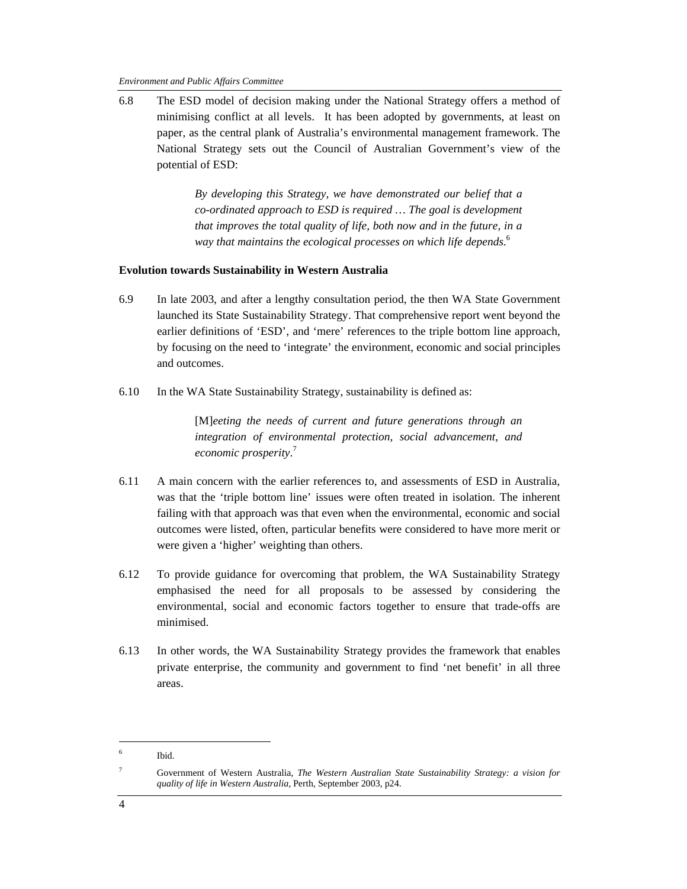6.8 The ESD model of decision making under the National Strategy offers a method of minimising conflict at all levels. It has been adopted by governments, at least on paper, as the central plank of Australia's environmental management framework. The National Strategy sets out the Council of Australian Government's view of the potential of ESD:

> *By developing this Strategy, we have demonstrated our belief that a co-ordinated approach to ESD is required … The goal is development that improves the total quality of life, both now and in the future, in a way that maintains the ecological processes on which life depends.*<sup>6</sup>

#### **Evolution towards Sustainability in Western Australia**

- 6.9 In late 2003, and after a lengthy consultation period, the then WA State Government launched its State Sustainability Strategy. That comprehensive report went beyond the earlier definitions of 'ESD', and 'mere' references to the triple bottom line approach, by focusing on the need to 'integrate' the environment, economic and social principles and outcomes.
- 6.10 In the WA State Sustainability Strategy, sustainability is defined as:

[M]*eeting the needs of current and future generations through an integration of environmental protection, social advancement, and economic prosperity*. 7

- 6.11 A main concern with the earlier references to, and assessments of ESD in Australia, was that the 'triple bottom line' issues were often treated in isolation. The inherent failing with that approach was that even when the environmental, economic and social outcomes were listed, often, particular benefits were considered to have more merit or were given a 'higher' weighting than others.
- 6.12 To provide guidance for overcoming that problem, the WA Sustainability Strategy emphasised the need for all proposals to be assessed by considering the environmental, social and economic factors together to ensure that trade-offs are minimised.
- 6.13 In other words, the WA Sustainability Strategy provides the framework that enables private enterprise, the community and government to find 'net benefit' in all three areas.

 $\overline{a}$ 

<sup>6</sup> Ibid.

<sup>7</sup>

Government of Western Australia, *The Western Australian State Sustainability Strategy: a vision for quality of life in Western Australia,* Perth, September 2003, p24.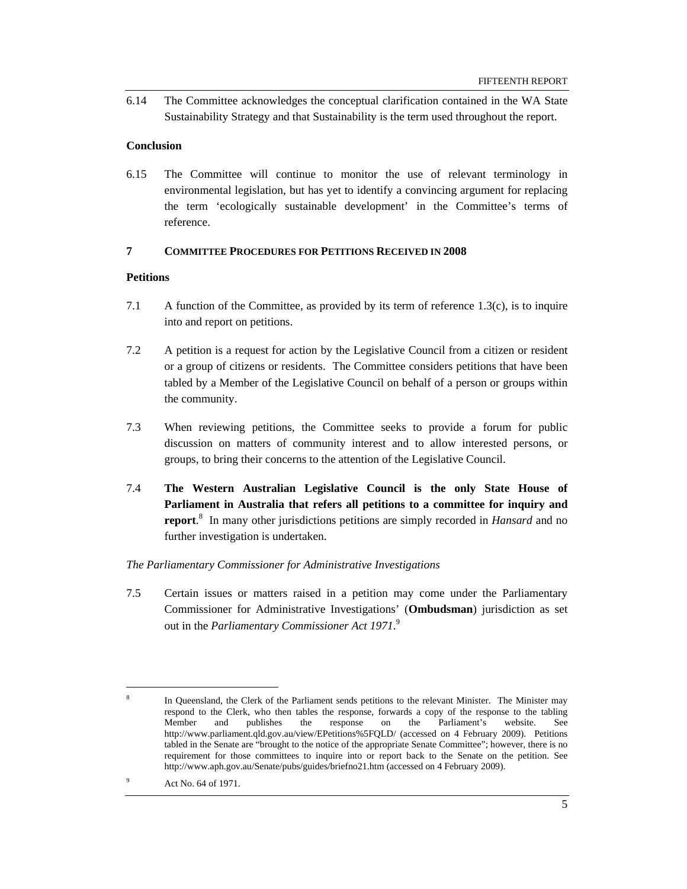6.14 The Committee acknowledges the conceptual clarification contained in the WA State Sustainability Strategy and that Sustainability is the term used throughout the report.

#### **Conclusion**

6.15 The Committee will continue to monitor the use of relevant terminology in environmental legislation, but has yet to identify a convincing argument for replacing the term 'ecologically sustainable development' in the Committee's terms of reference.

#### **7 COMMITTEE PROCEDURES FOR PETITIONS RECEIVED IN 2008**

#### **Petitions**

- 7.1 A function of the Committee, as provided by its term of reference 1.3(c), is to inquire into and report on petitions.
- 7.2 A petition is a request for action by the Legislative Council from a citizen or resident or a group of citizens or residents. The Committee considers petitions that have been tabled by a Member of the Legislative Council on behalf of a person or groups within the community.
- 7.3 When reviewing petitions, the Committee seeks to provide a forum for public discussion on matters of community interest and to allow interested persons, or groups, to bring their concerns to the attention of the Legislative Council.
- 7.4 **The Western Australian Legislative Council is the only State House of Parliament in Australia that refers all petitions to a committee for inquiry and report**. 8 In many other jurisdictions petitions are simply recorded in *Hansard* and no further investigation is undertaken.

#### *The Parliamentary Commissioner for Administrative Investigations*

7.5 Certain issues or matters raised in a petition may come under the Parliamentary Commissioner for Administrative Investigations' (**Ombudsman**) jurisdiction as set out in the *Parliamentary Commissioner Act 1971*. 9

<sup>8</sup> In Queensland, the Clerk of the Parliament sends petitions to the relevant Minister. The Minister may respond to the Clerk, who then tables the response, forwards a copy of the response to the tabling Member and publishes the response on the Parliament's website. See http://www.parliament.qld.gov.au/view/EPetitions%5FQLD/ (accessed on 4 February 2009). Petitions tabled in the Senate are "brought to the notice of the appropriate Senate Committee"; however, there is no requirement for those committees to inquire into or report back to the Senate on the petition. See http://www.aph.gov.au/Senate/pubs/guides/briefno21.htm (accessed on 4 February 2009).

<sup>9</sup> Act No. 64 of 1971.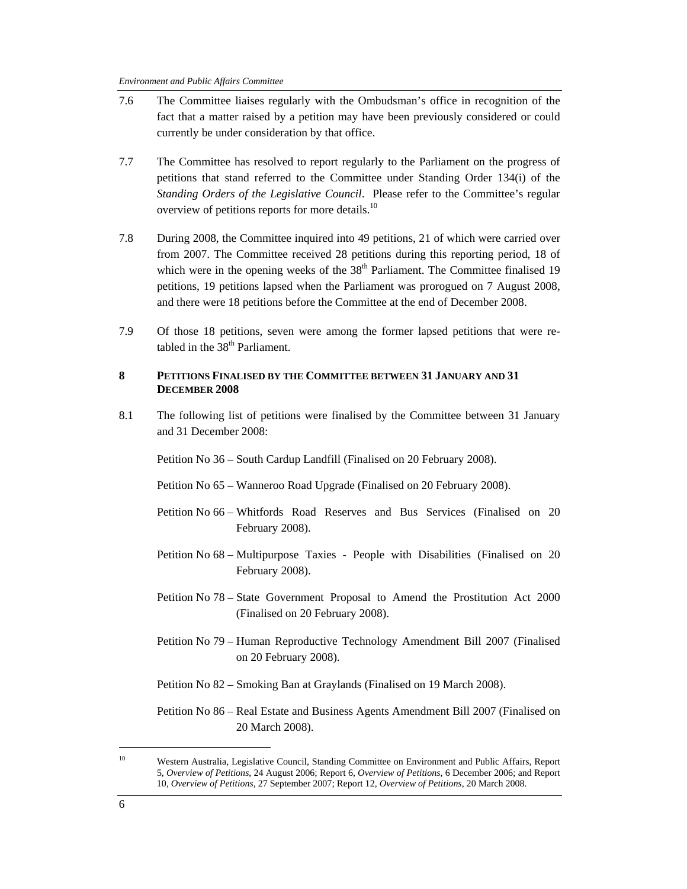| 7.6 | The Committee liaises regularly with the Ombudsman's office in recognition of the<br>fact that a matter raised by a petition may have been previously considered or could<br>currently be under consideration by that office.                                                                                                                                                                                                                       |
|-----|-----------------------------------------------------------------------------------------------------------------------------------------------------------------------------------------------------------------------------------------------------------------------------------------------------------------------------------------------------------------------------------------------------------------------------------------------------|
| 7.7 | The Committee has resolved to report regularly to the Parliament on the progress of<br>petitions that stand referred to the Committee under Standing Order 134(i) of the<br>Standing Orders of the Legislative Council. Please refer to the Committee's regular<br>overview of petitions reports for more details. <sup>10</sup>                                                                                                                    |
| 7.8 | During 2008, the Committee inquired into 49 petitions, 21 of which were carried over<br>from 2007. The Committee received 28 petitions during this reporting period, 18 of<br>which were in the opening weeks of the 38 <sup>th</sup> Parliament. The Committee finalised 19<br>petitions, 19 petitions lapsed when the Parliament was prorogued on 7 August 2008,<br>and there were 18 petitions before the Committee at the end of December 2008. |
| 7.9 | Of those 18 petitions, seven were among the former lapsed petitions that were re-<br>tabled in the 38 <sup>th</sup> Parliament.                                                                                                                                                                                                                                                                                                                     |
| 8   | PETITIONS FINALISED BY THE COMMITTEE BETWEEN 31 JANUARY AND 31<br><b>DECEMBER 2008</b>                                                                                                                                                                                                                                                                                                                                                              |
| 8.1 | The following list of petitions were finalised by the Committee between 31 January<br>and 31 December 2008:                                                                                                                                                                                                                                                                                                                                         |
|     | Petition No 36 – South Cardup Landfill (Finalised on 20 February 2008).                                                                                                                                                                                                                                                                                                                                                                             |
|     | Petition No 65 – Wanneroo Road Upgrade (Finalised on 20 February 2008).                                                                                                                                                                                                                                                                                                                                                                             |
|     | Petition No 66 – Whitfords Road Reserves and Bus Services (Finalised on 20<br>February 2008).                                                                                                                                                                                                                                                                                                                                                       |
|     | Petition No 68 – Multipurpose Taxies - People with Disabilities (Finalised on 20<br>February 2008).                                                                                                                                                                                                                                                                                                                                                 |
|     | Petition No 78 – State Government Proposal to Amend the Prostitution Act 2000<br>(Finalised on 20 February 2008).                                                                                                                                                                                                                                                                                                                                   |
|     | Petition No 79 - Human Reproductive Technology Amendment Bill 2007 (Finalised<br>on 20 February 2008).                                                                                                                                                                                                                                                                                                                                              |
|     | Petition No 82 – Smoking Ban at Graylands (Finalised on 19 March 2008).                                                                                                                                                                                                                                                                                                                                                                             |

Petition No 86 – Real Estate and Business Agents Amendment Bill 2007 (Finalised on 20 March 2008).

<sup>&</sup>lt;sup>10</sup> Western Australia, Legislative Council, Standing Committee on Environment and Public Affairs, Report 5, *Overview of Petitions*, 24 August 2006; Report 6, *Overview of Petitions*, 6 December 2006; and Report 10, *Overview of Petitions*, 27 September 2007; Report 12, *Overview of Petitions*, 20 March 2008.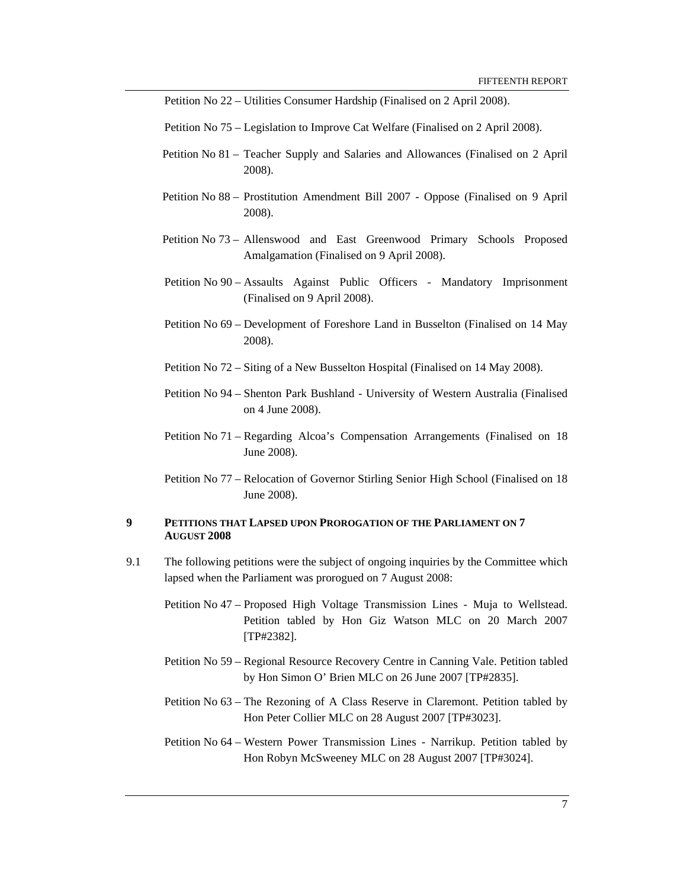Petition No 22 – Utilities Consumer Hardship (Finalised on 2 April 2008).

- Petition No 75 Legislation to Improve Cat Welfare (Finalised on 2 April 2008).
- Petition No 81 Teacher Supply and Salaries and Allowances (Finalised on 2 April 2008).
- Petition No 88 Prostitution Amendment Bill 2007 Oppose (Finalised on 9 April 2008).
- Petition No 73 Allenswood and East Greenwood Primary Schools Proposed Amalgamation (Finalised on 9 April 2008).
- Petition No 90 Assaults Against Public Officers Mandatory Imprisonment (Finalised on 9 April 2008).
- Petition No 69 Development of Foreshore Land in Busselton (Finalised on 14 May 2008).
- Petition No 72 Siting of a New Busselton Hospital (Finalised on 14 May 2008).
- Petition No 94 Shenton Park Bushland University of Western Australia (Finalised on 4 June 2008).
- Petition No 71 Regarding Alcoa's Compensation Arrangements (Finalised on 18 June 2008).
- Petition No 77 Relocation of Governor Stirling Senior High School (Finalised on 18 June 2008).

#### **9 PETITIONS THAT LAPSED UPON PROROGATION OF THE PARLIAMENT ON 7 AUGUST 2008**

- 9.1 The following petitions were the subject of ongoing inquiries by the Committee which lapsed when the Parliament was prorogued on 7 August 2008:
	- Petition No 47 Proposed High Voltage Transmission Lines Muja to Wellstead. Petition tabled by Hon Giz Watson MLC on 20 March 2007 [TP#2382].
	- Petition No 59 Regional Resource Recovery Centre in Canning Vale. Petition tabled by Hon Simon O' Brien MLC on 26 June 2007 [TP#2835].
	- Petition No 63 The Rezoning of A Class Reserve in Claremont. Petition tabled by Hon Peter Collier MLC on 28 August 2007 [TP#3023].
	- Petition No 64 Western Power Transmission Lines Narrikup. Petition tabled by Hon Robyn McSweeney MLC on 28 August 2007 [TP#3024].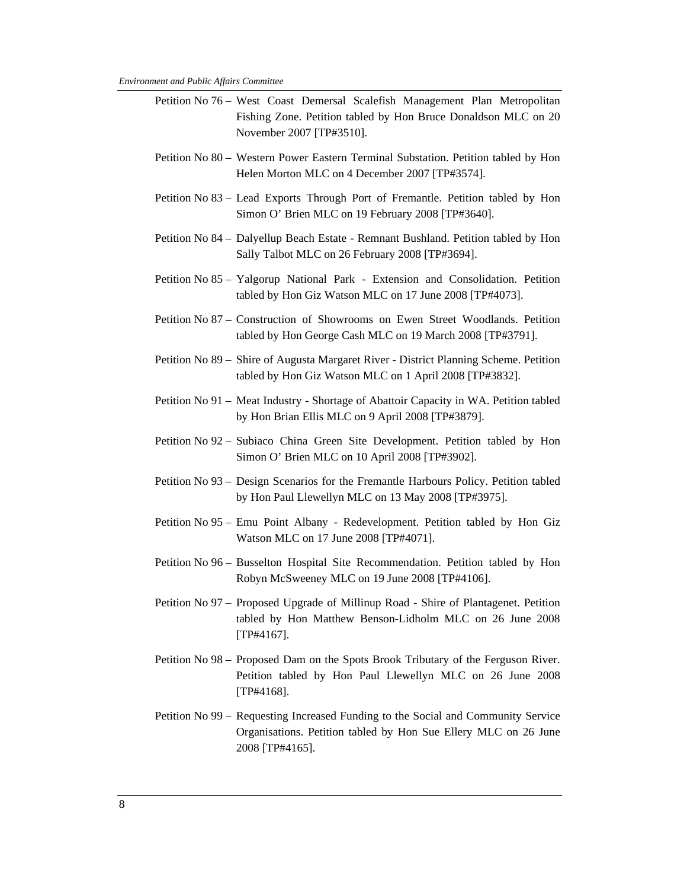- Petition No 76 West Coast Demersal Scalefish Management Plan Metropolitan Fishing Zone. Petition tabled by Hon Bruce Donaldson MLC on 20 November 2007 [TP#3510].
- Petition No 80 Western Power Eastern Terminal Substation. Petition tabled by Hon Helen Morton MLC on 4 December 2007 [TP#3574].
- Petition No 83 Lead Exports Through Port of Fremantle. Petition tabled by Hon Simon O' Brien MLC on 19 February 2008 [TP#3640].
- Petition No 84 Dalyellup Beach Estate Remnant Bushland. Petition tabled by Hon Sally Talbot MLC on 26 February 2008 [TP#3694].
- Petition No 85 Yalgorup National Park Extension and Consolidation. Petition tabled by Hon Giz Watson MLC on 17 June 2008 [TP#4073].
- Petition No 87 Construction of Showrooms on Ewen Street Woodlands. Petition tabled by Hon George Cash MLC on 19 March 2008 [TP#3791].
- Petition No 89 Shire of Augusta Margaret River District Planning Scheme. Petition tabled by Hon Giz Watson MLC on 1 April 2008 [TP#3832].
- Petition No 91 Meat Industry Shortage of Abattoir Capacity in WA. Petition tabled by Hon Brian Ellis MLC on 9 April 2008 [TP#3879].
- Petition No 92 Subiaco China Green Site Development. Petition tabled by Hon Simon O' Brien MLC on 10 April 2008 [TP#3902].
- Petition No 93 Design Scenarios for the Fremantle Harbours Policy. Petition tabled by Hon Paul Llewellyn MLC on 13 May 2008 [TP#3975].
- Petition No 95 Emu Point Albany Redevelopment. Petition tabled by Hon Giz Watson MLC on 17 June 2008 [TP#4071].
- Petition No 96 Busselton Hospital Site Recommendation. Petition tabled by Hon Robyn McSweeney MLC on 19 June 2008 [TP#4106].
- Petition No 97 Proposed Upgrade of Millinup Road Shire of Plantagenet. Petition tabled by Hon Matthew Benson-Lidholm MLC on 26 June 2008 [TP#4167].
- Petition No 98 Proposed Dam on the Spots Brook Tributary of the Ferguson River. Petition tabled by Hon Paul Llewellyn MLC on 26 June 2008 [TP#4168].
- Petition No 99 Requesting Increased Funding to the Social and Community Service Organisations. Petition tabled by Hon Sue Ellery MLC on 26 June 2008 [TP#4165].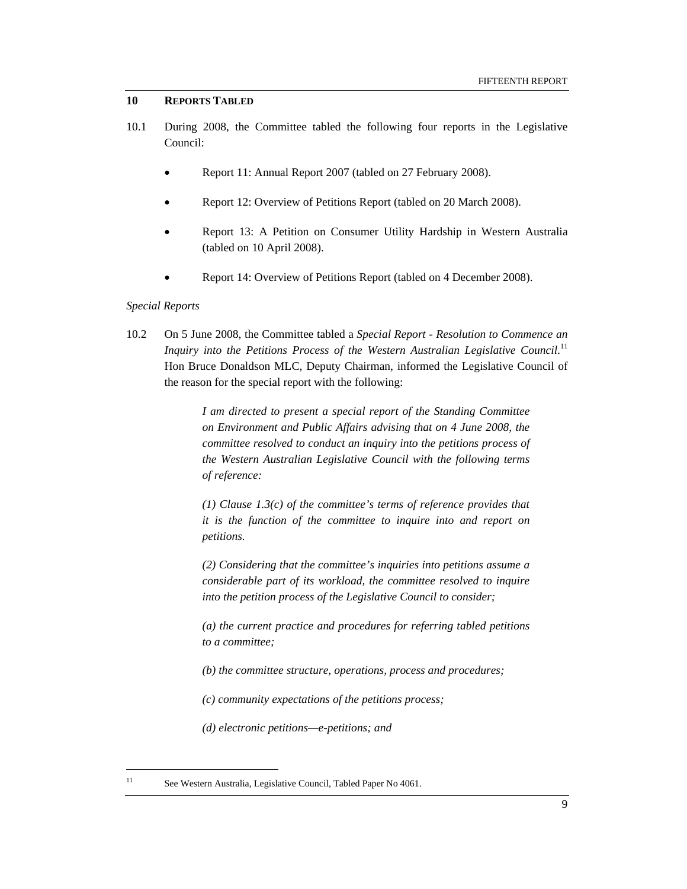#### **10 REPORTS TABLED**

- 10.1 During 2008, the Committee tabled the following four reports in the Legislative Council:
	- Report 11: Annual Report 2007 (tabled on 27 February 2008).
	- Report 12: Overview of Petitions Report (tabled on 20 March 2008).
	- Report 13: A Petition on Consumer Utility Hardship in Western Australia (tabled on 10 April 2008).
	- Report 14: Overview of Petitions Report (tabled on 4 December 2008).

#### *Special Reports*

10.2 On 5 June 2008, the Committee tabled a *Special Report - Resolution to Commence an*  Inquiry into the Petitions Process of the Western Australian Legislative Council.<sup>11</sup> Hon Bruce Donaldson MLC, Deputy Chairman, informed the Legislative Council of the reason for the special report with the following:

> *I am directed to present a special report of the Standing Committee on Environment and Public Affairs advising that on 4 June 2008, the committee resolved to conduct an inquiry into the petitions process of the Western Australian Legislative Council with the following terms of reference:*

> *(1) Clause 1.3(c) of the committee's terms of reference provides that it is the function of the committee to inquire into and report on petitions.*

> *(2) Considering that the committee's inquiries into petitions assume a considerable part of its workload, the committee resolved to inquire into the petition process of the Legislative Council to consider;*

> *(a) the current practice and procedures for referring tabled petitions to a committee;*

*(b) the committee structure, operations, process and procedures;* 

*(c) community expectations of the petitions process;* 

*(d) electronic petitions—e-petitions; and* 

<sup>&</sup>lt;sup>11</sup> See Western Australia, Legislative Council, Tabled Paper No 4061.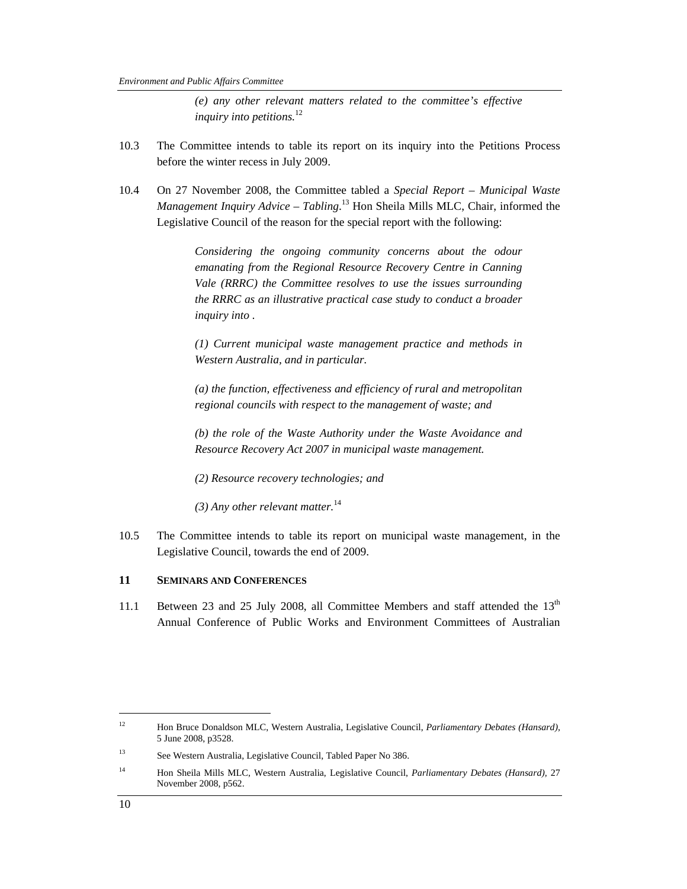*(e) any other relevant matters related to the committee's effective inquiry into petitions.*<sup>12</sup>

- 10.3 The Committee intends to table its report on its inquiry into the Petitions Process before the winter recess in July 2009.
- 10.4 On 27 November 2008, the Committee tabled a *Special Report Municipal Waste Management Inquiry Advice – Tabling*. 13 Hon Sheila Mills MLC, Chair, informed the Legislative Council of the reason for the special report with the following:

*Considering the ongoing community concerns about the odour emanating from the Regional Resource Recovery Centre in Canning Vale (RRRC) the Committee resolves to use the issues surrounding the RRRC as an illustrative practical case study to conduct a broader inquiry into .* 

*(1) Current municipal waste management practice and methods in Western Australia, and in particular.* 

*(a) the function, effectiveness and efficiency of rural and metropolitan regional councils with respect to the management of waste; and* 

*(b) the role of the Waste Authority under the Waste Avoidance and Resource Recovery Act 2007 in municipal waste management.* 

- *(2) Resource recovery technologies; and*
- *(3) Any other relevant matter.*<sup>14</sup>
- 10.5 The Committee intends to table its report on municipal waste management, in the Legislative Council, towards the end of 2009.

### **11 SEMINARS AND CONFERENCES**

11.1 Between 23 and 25 July 2008, all Committee Members and staff attended the  $13<sup>th</sup>$ Annual Conference of Public Works and Environment Committees of Australian

 $\overline{a}$ 

<sup>12</sup> Hon Bruce Donaldson MLC, Western Australia, Legislative Council, *Parliamentary Debates (Hansard),*  5 June 2008, p3528.

<sup>13</sup> See Western Australia, Legislative Council, Tabled Paper No 386.

<sup>14</sup> Hon Sheila Mills MLC, Western Australia, Legislative Council, *Parliamentary Debates (Hansard),* 27 November 2008, p562.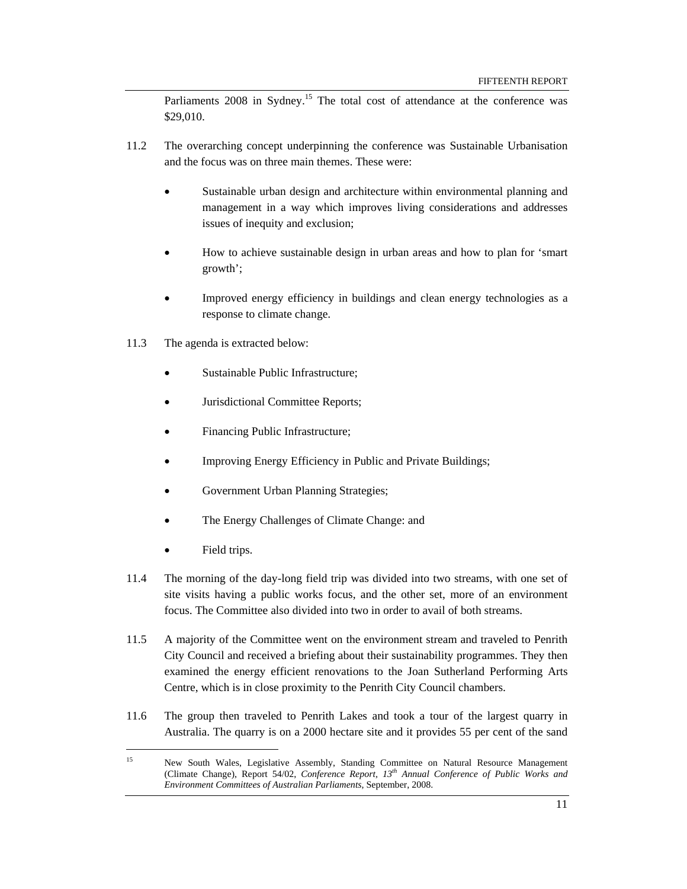Parliaments 2008 in Sydney.<sup>15</sup> The total cost of attendance at the conference was \$29,010.

- 11.2 The overarching concept underpinning the conference was Sustainable Urbanisation and the focus was on three main themes. These were:
	- Sustainable urban design and architecture within environmental planning and management in a way which improves living considerations and addresses issues of inequity and exclusion;
	- How to achieve sustainable design in urban areas and how to plan for 'smart growth';
	- Improved energy efficiency in buildings and clean energy technologies as a response to climate change.
- 11.3 The agenda is extracted below:
	- Sustainable Public Infrastructure;
	- Jurisdictional Committee Reports;
	- Financing Public Infrastructure;
	- Improving Energy Efficiency in Public and Private Buildings;
	- Government Urban Planning Strategies;
	- The Energy Challenges of Climate Change: and
	- Field trips.

- 11.4 The morning of the day-long field trip was divided into two streams, with one set of site visits having a public works focus, and the other set, more of an environment focus. The Committee also divided into two in order to avail of both streams.
- 11.5 A majority of the Committee went on the environment stream and traveled to Penrith City Council and received a briefing about their sustainability programmes. They then examined the energy efficient renovations to the Joan Sutherland Performing Arts Centre, which is in close proximity to the Penrith City Council chambers.
- 11.6 The group then traveled to Penrith Lakes and took a tour of the largest quarry in Australia. The quarry is on a 2000 hectare site and it provides 55 per cent of the sand

<sup>&</sup>lt;sup>15</sup> New South Wales, Legislative Assembly, Standing Committee on Natural Resource Management (Climate Change), Report 54/02, *Conference Report, 13th Annual Conference of Public Works and Environment Committees of Australian Parliaments*, September, 2008.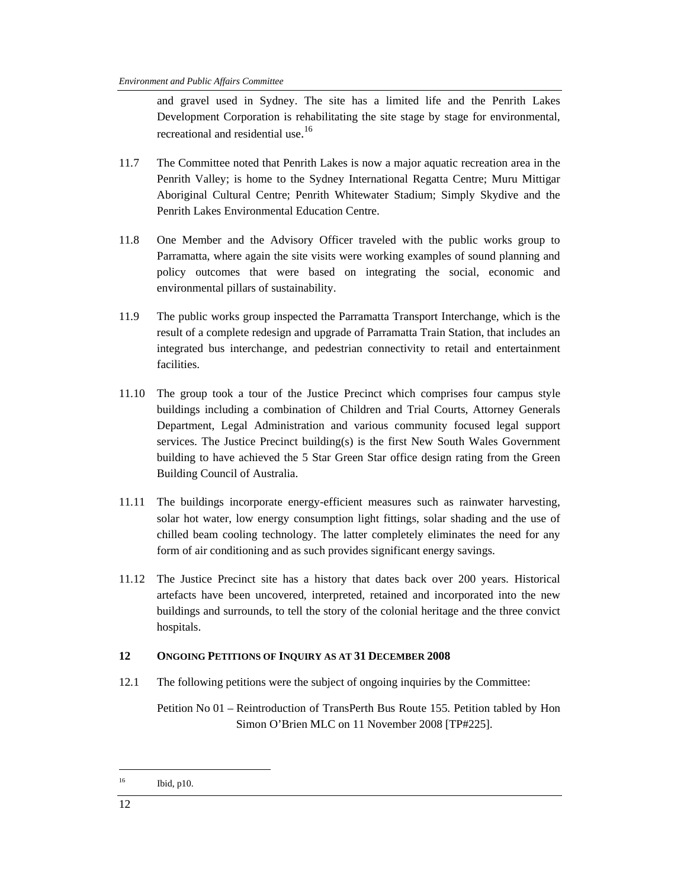and gravel used in Sydney. The site has a limited life and the Penrith Lakes Development Corporation is rehabilitating the site stage by stage for environmental, recreational and residential use.<sup>16</sup>

- 11.7 The Committee noted that Penrith Lakes is now a major aquatic recreation area in the Penrith Valley; is home to the Sydney International Regatta Centre; Muru Mittigar Aboriginal Cultural Centre; Penrith Whitewater Stadium; Simply Skydive and the Penrith Lakes Environmental Education Centre.
- 11.8 One Member and the Advisory Officer traveled with the public works group to Parramatta, where again the site visits were working examples of sound planning and policy outcomes that were based on integrating the social, economic and environmental pillars of sustainability.
- 11.9 The public works group inspected the Parramatta Transport Interchange, which is the result of a complete redesign and upgrade of Parramatta Train Station, that includes an integrated bus interchange, and pedestrian connectivity to retail and entertainment facilities.
- 11.10 The group took a tour of the Justice Precinct which comprises four campus style buildings including a combination of Children and Trial Courts, Attorney Generals Department, Legal Administration and various community focused legal support services. The Justice Precinct building(s) is the first New South Wales Government building to have achieved the 5 Star Green Star office design rating from the Green Building Council of Australia.
- 11.11 The buildings incorporate energy-efficient measures such as rainwater harvesting, solar hot water, low energy consumption light fittings, solar shading and the use of chilled beam cooling technology. The latter completely eliminates the need for any form of air conditioning and as such provides significant energy savings.
- 11.12 The Justice Precinct site has a history that dates back over 200 years. Historical artefacts have been uncovered, interpreted, retained and incorporated into the new buildings and surrounds, to tell the story of the colonial heritage and the three convict hospitals.

### **12 ONGOING PETITIONS OF INQUIRY AS AT 31 DECEMBER 2008**

12.1 The following petitions were the subject of ongoing inquiries by the Committee:

Petition No 01 – Reintroduction of TransPerth Bus Route 155. Petition tabled by Hon Simon O'Brien MLC on 11 November 2008 [TP#225].

<sup>16</sup> Ibid, p10.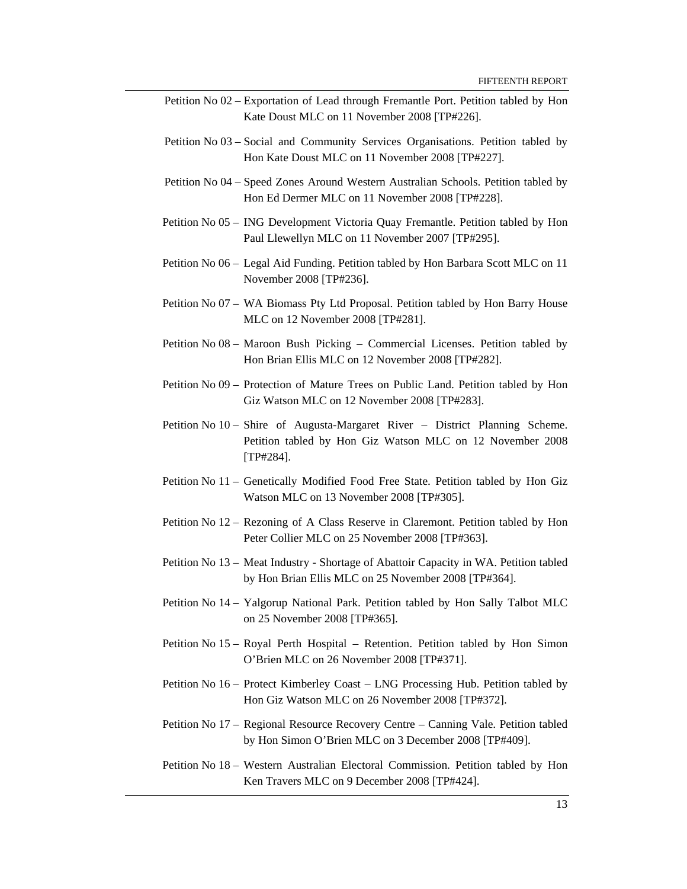- Petition No 02 Exportation of Lead through Fremantle Port. Petition tabled by Hon Kate Doust MLC on 11 November 2008 [TP#226].
- Petition No 03 Social and Community Services Organisations. Petition tabled by Hon Kate Doust MLC on 11 November 2008 [TP#227].
- Petition No 04 Speed Zones Around Western Australian Schools. Petition tabled by Hon Ed Dermer MLC on 11 November 2008 [TP#228].
- Petition No 05 ING Development Victoria Quay Fremantle. Petition tabled by Hon Paul Llewellyn MLC on 11 November 2007 [TP#295].
- Petition No 06 Legal Aid Funding. Petition tabled by Hon Barbara Scott MLC on 11 November 2008 [TP#236].
- Petition No 07 WA Biomass Pty Ltd Proposal. Petition tabled by Hon Barry House MLC on 12 November 2008 [TP#281].
- Petition No 08 Maroon Bush Picking Commercial Licenses. Petition tabled by Hon Brian Ellis MLC on 12 November 2008 [TP#282].
- Petition No 09 Protection of Mature Trees on Public Land. Petition tabled by Hon Giz Watson MLC on 12 November 2008 [TP#283].
- Petition No 10 Shire of Augusta-Margaret River District Planning Scheme. Petition tabled by Hon Giz Watson MLC on 12 November 2008 [TP#284].
- Petition No 11 Genetically Modified Food Free State. Petition tabled by Hon Giz Watson MLC on 13 November 2008 [TP#305].
- Petition No 12 Rezoning of A Class Reserve in Claremont. Petition tabled by Hon Peter Collier MLC on 25 November 2008 [TP#363].
- Petition No 13 Meat Industry Shortage of Abattoir Capacity in WA. Petition tabled by Hon Brian Ellis MLC on 25 November 2008 [TP#364].
- Petition No 14 Yalgorup National Park. Petition tabled by Hon Sally Talbot MLC on 25 November 2008 [TP#365].
- Petition No 15 Royal Perth Hospital Retention. Petition tabled by Hon Simon O'Brien MLC on 26 November 2008 [TP#371].
- Petition No 16 Protect Kimberley Coast LNG Processing Hub. Petition tabled by Hon Giz Watson MLC on 26 November 2008 [TP#372].
- Petition No 17 Regional Resource Recovery Centre Canning Vale. Petition tabled by Hon Simon O'Brien MLC on 3 December 2008 [TP#409].
- Petition No 18 Western Australian Electoral Commission. Petition tabled by Hon Ken Travers MLC on 9 December 2008 [TP#424].